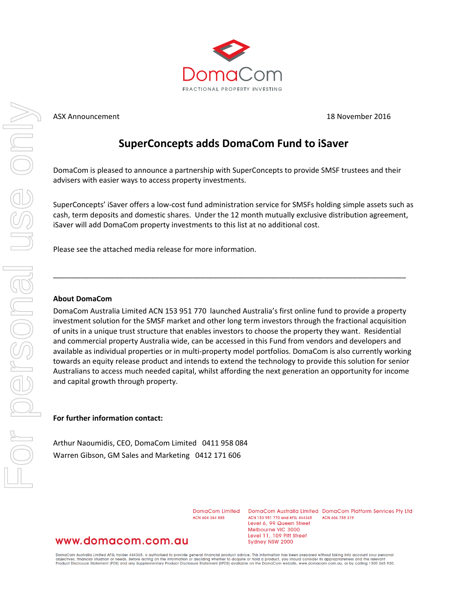

### ASX Announcement 18 November 2016

### **SuperConcepts adds DomaCom Fund to iSaver**

DomaCom is pleased to announce a partnership with SuperConcepts to provide SMSF trustees and their advisers with easier ways to access property investments.

SuperConcepts' iSaver offers a low-cost fund administration service for SMSFs holding simple assets such as cash, term deposits and domestic shares. Under the 12 month mutually exclusive distribution agreement, iSaver will add DomaCom property investments to this list at no additional cost.

\_\_\_\_\_\_\_\_\_\_\_\_\_\_\_\_\_\_\_\_\_\_\_\_\_\_\_\_\_\_\_\_\_\_\_\_\_\_\_\_\_\_\_\_\_\_\_\_\_\_\_\_\_\_\_\_\_\_\_\_\_\_\_\_\_\_\_\_\_\_\_\_\_\_\_\_\_\_\_\_\_\_\_\_\_\_

Please see the attached media release for more information.

### **About DomaCom**

DomaCom Australia Limited ACN 153 951 770 launched Australia's first online fund to provide a property investment solution for the SMSF market and other long term investors through the fractional acquisition of units in a unique trust structure that enables investors to choose the property they want. Residential and commercial property Australia wide, can be accessed in this Fund from vendors and developers and available as individual properties or in multi-property model portfolios. DomaCom is also currently working towards an equity release product and intends to extend the technology to provide this solution for senior Australians to access much needed capital, whilst affording the next generation an opportunity for income and capital growth through property.

### **For further information contact:**

Arthur Naoumidis, CEO, DomaCom Limited 0411 958 084 Warren Gibson, GM Sales and Marketing 0412 171 606

> DomaCom Limited ACN 604 384 885

DomaCom Australia Limited DomaCom Platform Services Pty Ltd ACN 153 951 770 and AFSL 444365 ACN 606 755 319 Level 6, 99 Queen Street Melbourne VIC 3000 Level 11, 109 Pitt Street Sydney NSW 2000

### www.domacom.com.au

DomaCom Australia Limited AFSL holder 444365, is authorised to provide general financial product advice. This information has been prepared without taking into account your personal<br>objectives, financial situation or needs